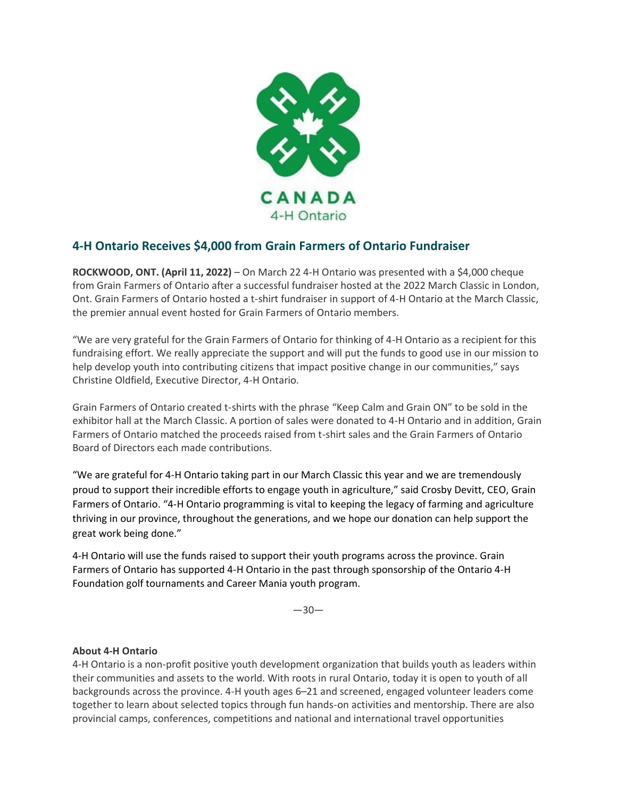

# **4-H Ontario Receives \$4,000 from Grain Farmers of Ontario Fundraiser**

**ROCKWOOD, ONT. (April 11, 2022)** – On March 22 4-H Ontario was presented with a \$4,000 cheque from Grain Farmers of Ontario after a successful fundraiser hosted at the 2022 March Classic in London, Ont. Grain Farmers of Ontario hosted a t-shirt fundraiser in support of 4-H Ontario at the March Classic, the premier annual event hosted for Grain Farmers of Ontario members.

"We are very grateful for the Grain Farmers of Ontario for thinking of 4-H Ontario as a recipient for this fundraising effort. We really appreciate the support and will put the funds to good use in our mission to help develop youth into contributing citizens that impact positive change in our communities," says Christine Oldfield, Executive Director, 4-H Ontario.

Grain Farmers of Ontario created t-shirts with the phrase "Keep Calm and Grain ON" to be sold in the exhibitor hall at the March Classic. A portion of sales were donated to 4-H Ontario and in addition, Grain Farmers of Ontario matched the proceeds raised from t-shirt sales and the Grain Farmers of Ontario Board of Directors each made contributions.

"We are grateful for 4-H Ontario taking part in our March Classic this year and we are tremendously proud to support their incredible efforts to engage youth in agriculture," said Crosby Devitt, CEO, Grain Farmers of Ontario. "4-H Ontario programming is vital to keeping the legacy of farming and agriculture thriving in our province, throughout the generations, and we hope our donation can help support the great work being done."

4-H Ontario will use the funds raised to support their youth programs across the province. Grain Farmers of Ontario has supported 4-H Ontario in the past through sponsorship of the Ontario 4-H Foundation golf tournaments and Career Mania youth program.

—30—

## **About 4-H Ontario**

4-H Ontario is a non-profit positive youth development organization that builds youth as leaders within their communities and assets to the world. With roots in rural Ontario, today it is open to youth of all backgrounds across the province. 4-H youth ages 6–21 and screened, engaged volunteer leaders come together to learn about selected topics through fun hands-on activities and mentorship. There are also provincial camps, conferences, competitions and national and international travel opportunities